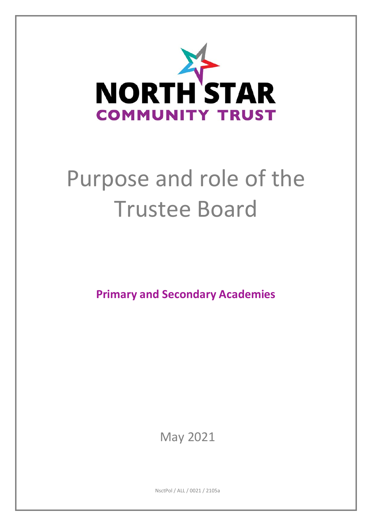

# Purpose and role of the Trustee Board

**Primary and Secondary Academies**

May 2021

NsctPol / ALL / 0021 / 2105a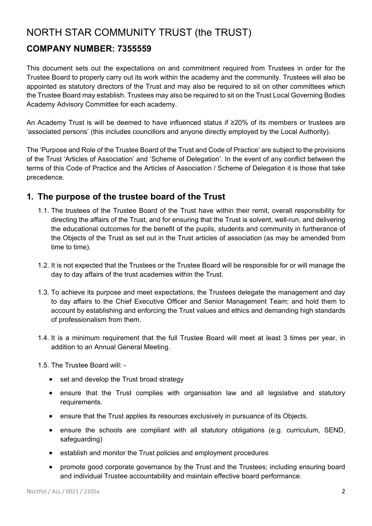## NORTH STAR COMMUNITY TRUST (the TRUST)

### **COMPANY NUMBER: 7355559**

This document sets out the expectations on and commitment required from Trustees in order for the Trustee Board to properly carry out its work within the academy and the community. Trustees will also be appointed as statutory directors of the Trust and may also be required to sit on other committees which the Trustee Board may establish. Trustees may also be required to sit on the Trust Local Governing Bodies Academy Advisory Committee for each academy.

An Academy Trust is will be deemed to have influenced status if ≥20% of its members or trustees are 'associated persons' (this includes councillors and anyone directly employed by the Local Authority).

The 'Purpose and Role of the Trustee Board of the Trust and Code of Practice' are subject to the provisions of the Trust 'Articles of Association' and 'Scheme of Delegation'. In the event of any conflict between the terms of this Code of Practice and the Articles of Association / Scheme of Delegation it is those that take precedence.

#### **1. The purpose of the trustee board of the Trust**

- 1.1. The trustees of the Trustee Board of the Trust have within their remit, overall responsibility for directing the affairs of the Trust, and for ensuring that the Trust is solvent, well-run, and delivering the educational outcomes for the benefit of the pupils, students and community in furtherance of the Objects of the Trust as set out in the Trust articles of association (as may be amended from time to time).
- 1.2. It is not expected that the Trustees or the Trustee Board will be responsible for or will manage the day to day affairs of the trust academies within the Trust.
- 1.3. To achieve its purpose and meet expectations, the Trustees delegate the management and day to day affairs to the Chief Executive Officer and Senior Management Team; and hold them to account by establishing and enforcing the Trust values and ethics and demanding high standards of professionalism from them.
- 1.4. It is a minimum requirement that the full Trustee Board will meet at least 3 times per year, in addition to an Annual General Meeting.

1.5. The Trustee Board will: -

- set and develop the Trust broad strategy
- ensure that the Trust complies with organisation law and all legislative and statutory requirements.
- ensure that the Trust applies its resources exclusively in pursuance of its Objects.
- ensure the schools are compliant with all statutory obligations (e.g. curriculum, SEND, safeguarding)
- establish and monitor the Trust policies and employment procedures
- promote good corporate governance by the Trust and the Trustees; including ensuring board and individual Trustee accountability and maintain effective board performance.